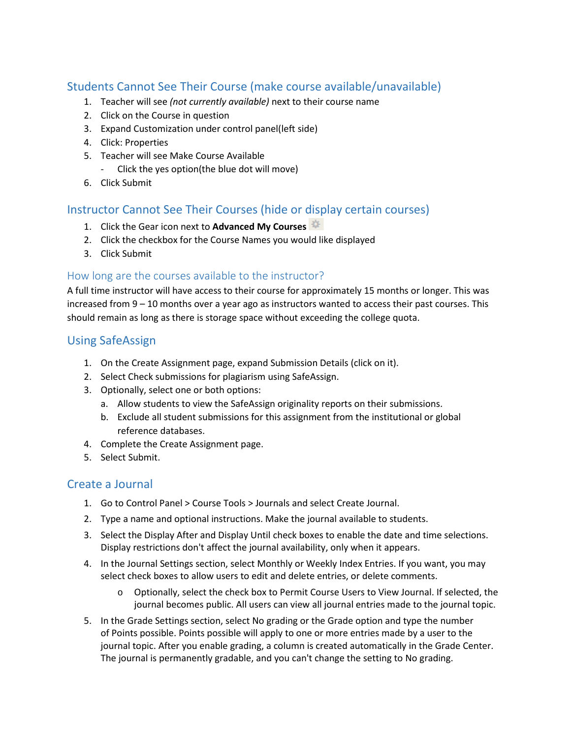# Students Cannot See Their Course (make course available/unavailable)

- 1. Teacher will see *(not currently available)* next to their course name
- 2. Click on the Course in question
- 3. Expand Customization under control panel(left side)
- 4. Click: Properties
- 5. Teacher will see Make Course Available
	- Click the yes option(the blue dot will move)
- 6. Click Submit

### Instructor Cannot See Their Courses (hide or display certain courses)

- 1. Click the Gear icon next to **Advanced My Courses**
- 2. Click the checkbox for the Course Names you would like displayed
- 3. Click Submit

### How long are the courses available to the instructor?

A full time instructor will have access to their course for approximately 15 months or longer. This was increased from 9 – 10 months over a year ago as instructors wanted to access their past courses. This should remain as long as there is storage space without exceeding the college quota.

## Using SafeAssign

- 1. On the Create Assignment page, expand Submission Details (click on it).
- 2. Select Check submissions for plagiarism using SafeAssign.
- 3. Optionally, select one or both options:
	- a. Allow students to view the SafeAssign originality reports on their submissions.
	- b. Exclude all student submissions for this assignment from the institutional or global reference databases.
- 4. Complete the Create Assignment page.
- 5. Select Submit.

### Create a Journal

- 1. Go to Control Panel > Course Tools > Journals and select Create Journal.
- 2. Type a name and optional instructions. Make the journal available to students.
- 3. Select the Display After and Display Until check boxes to enable the date and time selections. Display restrictions don't affect the journal availability, only when it appears.
- 4. In the Journal Settings section, select Monthly or Weekly Index Entries. If you want, you may select check boxes to allow users to edit and delete entries, or delete comments.
	- o Optionally, select the check box to Permit Course Users to View Journal. If selected, the journal becomes public. All users can view all journal entries made to the journal topic.
- 5. In the Grade Settings section, select No grading or the Grade option and type the number of Points possible. Points possible will apply to one or more entries made by a user to the journal topic. After you enable grading, a column is created automatically in the Grade Center. The journal is permanently gradable, and you can't change the setting to No grading.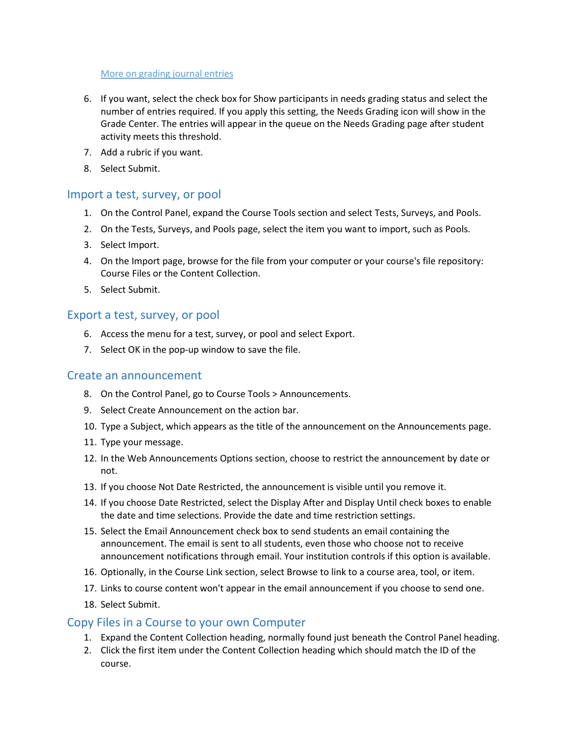#### [More on grading journal entries](https://help.blackboard.com/Learn/Instructor/Interact/Journals/Grade_Journals)

- 6. If you want, select the check box for Show participants in needs grading status and select the number of entries required. If you apply this setting, the Needs Grading icon will show in the Grade Center. The entries will appear in the queue on the Needs Grading page after student activity meets this threshold.
- 7. [Add a rubric](https://help.blackboard.com/Learn/Instructor/Grade/Rubrics) if you want.
- 8. Select Submit.

#### Import a test, survey, or pool

- 1. On the Control Panel, expand the Course Tools section and select Tests, Surveys, and Pools.
- 2. On the Tests, Surveys, and Pools page, select the item you want to import, such as Pools.
- 3. Select Import.
- 4. On the Import page, browse for the file from your computer or your course's file repository: Course Files or the Content Collection.
- 5. Select Submit.

#### Export a test, survey, or pool

- 6. Access the menu for a test, survey, or pool and select Export.
- 7. Select OK in the pop-up window to save the file.

#### Create an announcement

- 8. On the Control Panel, go to Course Tools > Announcements.
- 9. Select Create Announcement on the action bar.
- 10. Type a Subject, which appears as the title of the announcement on the Announcements page.
- 11. Type your message.
- 12. In the Web Announcements Options section, choose to restrict the announcement by date or not.
- 13. If you choose Not Date Restricted, the announcement is visible until you remove it.
- 14. If you choose Date Restricted, select the Display After and Display Until check boxes to enable the date and time selections. Provide the date and time restriction settings.
- 15. Select the Email Announcement check box to send students an email containing the announcement. The email is sent to all students, even those who choose not to receive announcement notifications through email. Your institution controls if this option is available.
- 16. Optionally, in the Course Link section, select Browse to link to a course area, tool, or item.
- 17. Links to course content won't appear in the email announcement if you choose to send one.
- 18. Select Submit.

### Copy Files in a Course to your own Computer

- 1. Expand the Content Collection heading, normally found just beneath the Control Panel heading.
- 2. Click the first item under the Content Collection heading which should match the ID of the course.